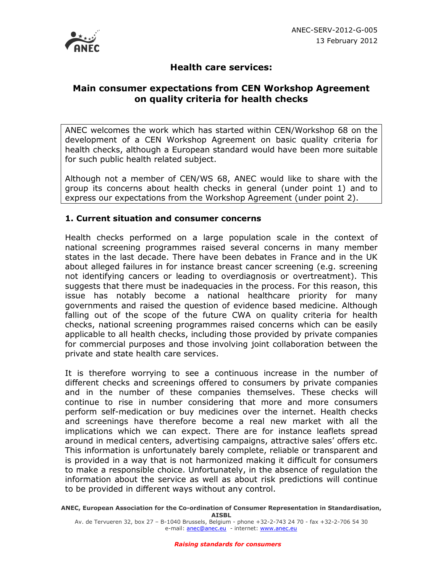

## **Health care services:**

## **Main consumer expectations from CEN Workshop Agreement on quality criteria for health checks**

ANEC welcomes the work which has started within CEN/Workshop 68 on the development of a CEN Workshop Agreement on basic quality criteria for health checks, although a European standard would have been more suitable for such public health related subject.

Although not a member of CEN/WS 68, ANEC would like to share with the group its concerns about health checks in general (under point 1) and to express our expectations from the Workshop Agreement (under point 2).

## **1. Current situation and consumer concerns**

Health checks performed on a large population scale in the context of national screening programmes raised several concerns in many member states in the last decade. There have been debates in France and in the UK about alleged failures in for instance breast cancer screening (e.g. screening not identifying cancers or leading to overdiagnosis or overtreatment). This suggests that there must be inadequacies in the process. For this reason, this issue has notably become a national healthcare priority for many governments and raised the question of evidence based medicine. Although falling out of the scope of the future CWA on quality criteria for health checks, national screening programmes raised concerns which can be easily applicable to all health checks, including those provided by private companies for commercial purposes and those involving joint collaboration between the private and state health care services.

It is therefore worrying to see a continuous increase in the number of different checks and screenings offered to consumers by private companies and in the number of these companies themselves. These checks will continue to rise in number considering that more and more consumers perform self-medication or buy medicines over the internet. Health checks and screenings have therefore become a real new market with all the implications which we can expect. There are for instance leaflets spread around in medical centers, advertising campaigns, attractive sales' offers etc. This information is unfortunately barely complete, reliable or transparent and is provided in a way that is not harmonized making it difficult for consumers to make a responsible choice. Unfortunately, in the absence of regulation the information about the service as well as about risk predictions will continue to be provided in different ways without any control.

**ANEC, European Association for the Co-ordination of Consumer Representation in Standardisation, AISBL** 

Av. de Tervueren 32, box 27 – B-1040 Brussels, Belgium - phone +32-2-743 24 70 - fax +32-2-706 54 30 e-mail: anec@anec.eu - internet: www.anec.eu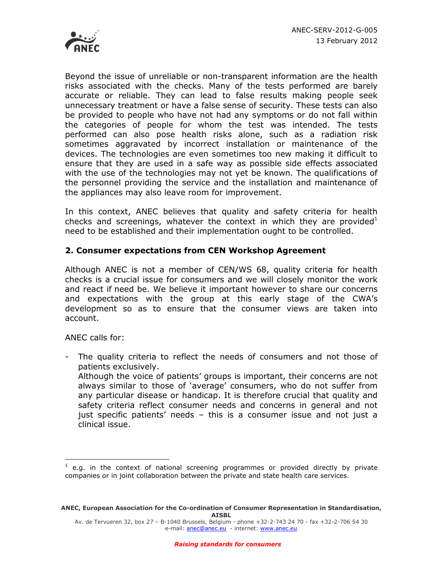

Beyond the issue of unreliable or non-transparent information are the health risks associated with the checks. Many of the tests performed are barely accurate or reliable. They can lead to false results making people seek unnecessary treatment or have a false sense of security. These tests can also be provided to people who have not had any symptoms or do not fall within the categories of people for whom the test was intended. The tests performed can also pose health risks alone, such as a radiation risk sometimes aggravated by incorrect installation or maintenance of the devices. The technologies are even sometimes too new making it difficult to ensure that they are used in a safe way as possible side effects associated with the use of the technologies may not yet be known. The qualifications of the personnel providing the service and the installation and maintenance of the appliances may also leave room for improvement.

In this context, ANEC believes that quality and safety criteria for health checks and screenings, whatever the context in which they are provided<sup>1</sup> need to be established and their implementation ought to be controlled.

## **2. Consumer expectations from CEN Workshop Agreement**

Although ANEC is not a member of CEN/WS 68, quality criteria for health checks is a crucial issue for consumers and we will closely monitor the work and react if need be. We believe it important however to share our concerns and expectations with the group at this early stage of the CWA's development so as to ensure that the consumer views are taken into account.

ANEC calls for:

<u>.</u>

- The quality criteria to reflect the needs of consumers and not those of patients exclusively. Although the voice of patients' groups is important, their concerns are not always similar to those of 'average' consumers, who do not suffer from any particular disease or handicap. It is therefore crucial that quality and safety criteria reflect consumer needs and concerns in general and not just specific patients' needs – this is a consumer issue and not just a clinical issue.

 $<sup>1</sup>$  e.g. in the context of national screening programmes or provided directly by private</sup> companies or in joint collaboration between the private and state health care services.

**ANEC, European Association for the Co-ordination of Consumer Representation in Standardisation, AISBL** 

Av. de Tervueren 32, box 27 – B-1040 Brussels, Belgium - phone +32-2-743 24 70 - fax +32-2-706 54 30 e-mail: anec@anec.eu - internet: www.anec.eu